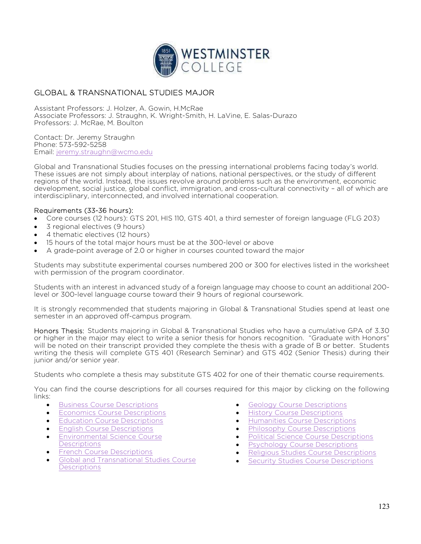

## GLOBAL & TRANSNATIONAL STUDIES MAJOR

Assistant Professors: J. Holzer, A. Gowin, H.McRae Associate Professors: J. Straughn, K. Wright-Smith, H. LaVine, E. Salas-Durazo Professors: J. McRae, M. Boulton

Contact: Dr. Jeremy Straughn Phone: 573-592-5258 Email: jeremy.straughn@wcmo.edu

Global and Transnational Studies focuses on the pressing international problems facing today's world. These issues are not simply about interplay of nations, national perspectives, or the study of different regions of the world. Instead, the issues revolve around problems such as the environment, economic development, social justice, global conflict, immigration, and cross-cultural connectivity – all of which are interdisciplinary, interconnected, and involved international cooperation.

## Requirements (33-36 hours):

- Core courses (12 hours): GTS 201, HIS 110, GTS 401, a third semester of foreign language (FLG 203)
- 3 regional electives (9 hours)
- 4 thematic electives (12 hours)
- 15 hours of the total major hours must be at the 300-level or above
- A grade-point average of 2.0 or higher in courses counted toward the major

Students may substitute experimental courses numbered 200 or 300 for electives listed in the worksheet with permission of the program coordinator.

Students with an interest in advanced study of a foreign language may choose to count an additional 200 level or 300-level language course toward their 9 hours of regional coursework.

It is strongly recommended that students majoring in Global & Transnational Studies spend at least one semester in an approved off-campus program.

Honors Thesis: Students majoring in Global & Transnational Studies who have a cumulative GPA of 3.30 or higher in the major may elect to write a senior thesis for honors recognition. "Graduate with Honors" will be noted on their transcript provided they complete the thesis with a grade of B or better. Students writing the thesis will complete GTS 401 (Research Seminar) and GTS 402 (Senior Thesis) during their junior and/or senior year.

Students who complete a thesis may substitute GTS 402 for one of their thematic course requirements.

You can find the course descriptions for all courses required for this major by clicking on the following links:

- Business Course Descriptions
- **Economics Course Descriptions**
- Education Course Descriptions
- English Course Descriptions
- Environmental Science Course **Descriptions**
- French Course Descriptions
- Global and Transnational Studies Course **Descriptions**
- **Geology Course Descriptions**
- History Course Descriptions
- Humanities Course Descriptions
- Philosophy Course Descriptions
- Political Science Course Descriptions
- Psychology Course Descriptions
- Religious Studies Course Descriptions
- Security Studies Course Descriptions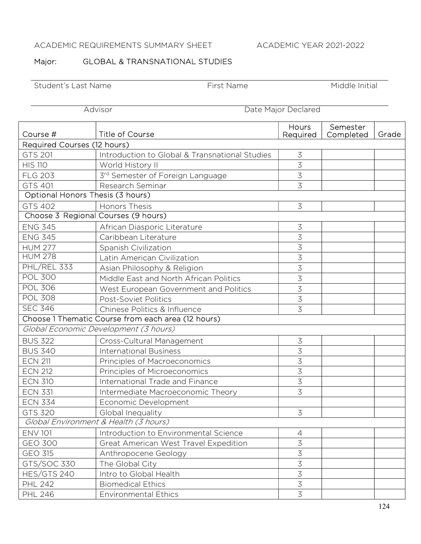# ACADEMIC REQUIREMENTS SUMMARY SHEET ACADEMIC YEAR 2021-2022

## Major: GLOBAL & TRANSNATIONAL STUDIES

Student's Last Name First Name First Name Middle Initial

Advisor Date Major Declared

| Course #                              | <b>Title of Course</b>                             | Hours<br>Required | Semester<br>Completed | Grade |  |  |  |
|---------------------------------------|----------------------------------------------------|-------------------|-----------------------|-------|--|--|--|
| Required Courses (12 hours)           |                                                    |                   |                       |       |  |  |  |
| GTS 201                               | Introduction to Global & Transnational Studies     | $\mathfrak{Z}$    |                       |       |  |  |  |
| <b>HIS 110</b>                        | World History II                                   | $\overline{3}$    |                       |       |  |  |  |
| <b>FLG 203</b>                        | 3rd Semester of Foreign Language                   | $\overline{3}$    |                       |       |  |  |  |
| GTS 401                               | Research Seminar                                   | 3                 |                       |       |  |  |  |
| Optional Honors Thesis (3 hours)      |                                                    |                   |                       |       |  |  |  |
| GTS 402                               | <b>Honors Thesis</b>                               | $\overline{3}$    |                       |       |  |  |  |
| Choose 3 Regional Courses (9 hours)   |                                                    |                   |                       |       |  |  |  |
| <b>ENG 345</b>                        | African Diasporic Literature                       | $\mathfrak{Z}$    |                       |       |  |  |  |
| <b>ENG 345</b>                        | Caribbean Literature                               | $\overline{3}$    |                       |       |  |  |  |
| <b>HUM 277</b>                        | Spanish Civilization                               | $\overline{3}$    |                       |       |  |  |  |
| <b>HUM 278</b>                        | Latin American Civilization                        | 3                 |                       |       |  |  |  |
| PHL/REL 333                           | Asian Philosophy & Religion                        | $\overline{3}$    |                       |       |  |  |  |
| <b>POL 300</b>                        | Middle East and North African Politics             | $\overline{3}$    |                       |       |  |  |  |
| <b>POL 306</b>                        | West European Government and Politics              | $\overline{3}$    |                       |       |  |  |  |
| <b>POL 308</b>                        | <b>Post-Soviet Politics</b>                        | 3                 |                       |       |  |  |  |
| <b>SEC 346</b>                        | Chinese Politics & Influence                       | 3                 |                       |       |  |  |  |
|                                       | Choose 1 Thematic Course from each area (12 hours) |                   |                       |       |  |  |  |
| Global Economic Development (3 hours) |                                                    |                   |                       |       |  |  |  |
| <b>BUS 322</b>                        | Cross-Cultural Management                          | $\mathfrak{Z}$    |                       |       |  |  |  |
| <b>BUS 340</b>                        | <b>International Business</b>                      | 3                 |                       |       |  |  |  |
| <b>ECN 211</b>                        | Principles of Macroeconomics                       | $\overline{3}$    |                       |       |  |  |  |
| <b>ECN 212</b>                        | Principles of Microeconomics                       | $\overline{3}$    |                       |       |  |  |  |
| <b>ECN 310</b>                        | International Trade and Finance                    | 3                 |                       |       |  |  |  |
| <b>ECN 331</b>                        | Intermediate Macroeconomic Theory                  | 3                 |                       |       |  |  |  |
| <b>ECN 334</b>                        | Economic Development                               |                   |                       |       |  |  |  |
| <b>GTS 320</b>                        | Global Inequality                                  | 3                 |                       |       |  |  |  |
| Global Environment & Health (3 hours) |                                                    |                   |                       |       |  |  |  |
| <b>ENV 101</b>                        | Introduction to Environmental Science              | $\sqrt{4}$        |                       |       |  |  |  |
| <b>GEO 300</b>                        | Great American West Travel Expedition              | 3                 |                       |       |  |  |  |
| <b>GEO 315</b>                        | Anthropocene Geology                               | $\preceq$         |                       |       |  |  |  |
| GTS/SOC 330                           | The Global City                                    | $\mathfrak{Z}$    |                       |       |  |  |  |
| HES/GTS 240                           | Intro to Global Health                             | $\mathfrak{Z}$    |                       |       |  |  |  |
| <b>PHL 242</b>                        | <b>Biomedical Ethics</b>                           | $\overline{3}$    |                       |       |  |  |  |
| <b>PHL 246</b>                        | <b>Environmental Ethics</b>                        | $\overline{3}$    |                       |       |  |  |  |